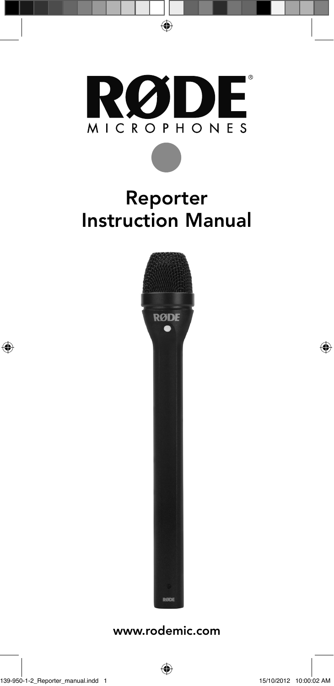

## Reporter Instruction Manual



www.rodemic.com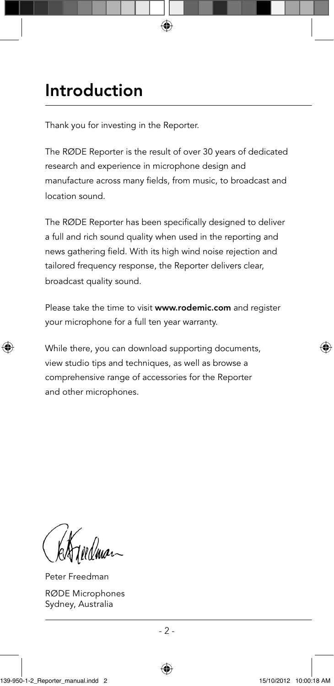## Introduction

Thank you for investing in the Reporter.

The RØDE Reporter is the result of over 30 years of dedicated research and experience in microphone design and manufacture across many fields, from music, to broadcast and location sound.

The RØDE Reporter has been specifically designed to deliver a full and rich sound quality when used in the reporting and news gathering field. With its high wind noise rejection and tailored frequency response, the Reporter delivers clear, broadcast quality sound.

Please take the time to visit www.rodemic.com and register your microphone for a full ten year warranty.

While there, you can download supporting documents, view studio tips and techniques, as well as browse a comprehensive range of accessories for the Reporter and other microphones.

Peter Freedman RØDE Microphones Sydney, Australia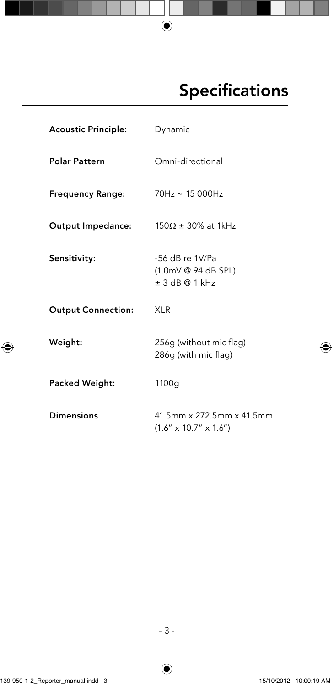## Specifications

| Acoustic Principle:       | Dynamic                                                           |
|---------------------------|-------------------------------------------------------------------|
| <b>Polar Pattern</b>      | Omni-directional                                                  |
| <b>Frequency Range:</b>   | $70Hz \sim 15000Hz$                                               |
| Output Impedance:         | $150\Omega \pm 30\%$ at 1kHz                                      |
| Sensitivity:              | -56 dB re 1V/Pa<br>$(1.0mV@94dB$ SPL)<br>$\pm$ 3 dB @ 1 kHz       |
| <b>Output Connection:</b> | <b>XLR</b>                                                        |
| Weight:                   | 256g (without mic flag)<br>286g (with mic flag)                   |
| Packed Weight:            | 1100q                                                             |
| <b>Dimensions</b>         | 41.5mm x 272.5mm x 41.5mm<br>$(1.6'' \times 10.7'' \times 1.6'')$ |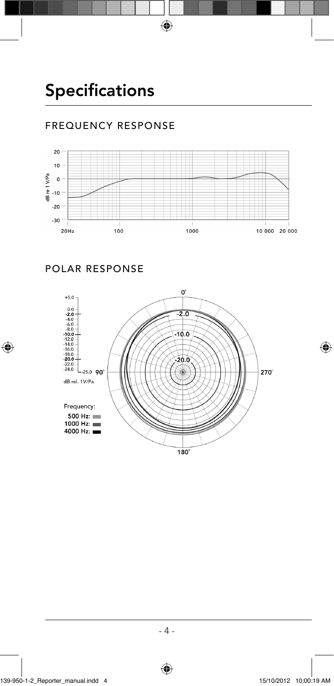### FREQUENCY RESPONSE





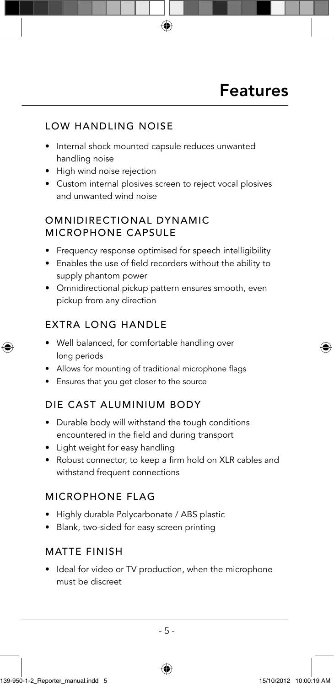#### LOW HANDLING NOISE

- Internal shock mounted capsule reduces unwanted handling noise
- High wind noise rejection
- Custom internal plosives screen to reject vocal plosives and unwanted wind noise

#### OMNIDIRECTIONAL DYNAMIC MICROPHONE CAPSULE

- Frequency response optimised for speech intelligibility
- Enables the use of field recorders without the ability to supply phantom power
- Omnidirectional pickup pattern ensures smooth, even pickup from any direction

### EXTRA LONG HANDLE

- Well balanced, for comfortable handling over long periods
- Allows for mounting of traditional microphone flags
- Ensures that you get closer to the source

#### DIE CAST ALUMINIUM BODY

- Durable body will withstand the tough conditions encountered in the field and during transport
- Light weight for easy handling
- Robust connector, to keep a firm hold on XLR cables and withstand frequent connections

#### MICROPHONE FLAG

- Highly durable Polycarbonate / ABS plastic
- Blank, two-sided for easy screen printing

#### MATTE FINISH

• Ideal for video or TV production, when the microphone must be discreet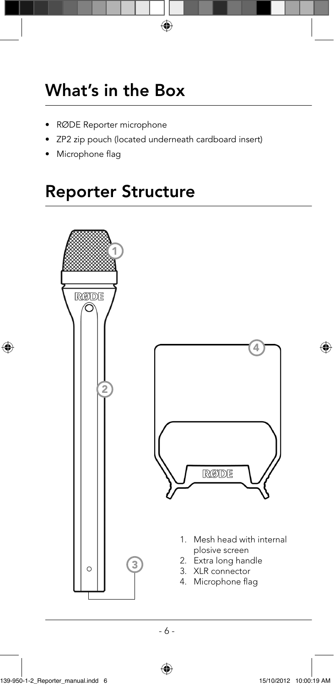## What's in the Box

- RØDE Reporter microphone
- ZP2 zip pouch (located underneath cardboard insert)
- Microphone flag

### Reporter Structure

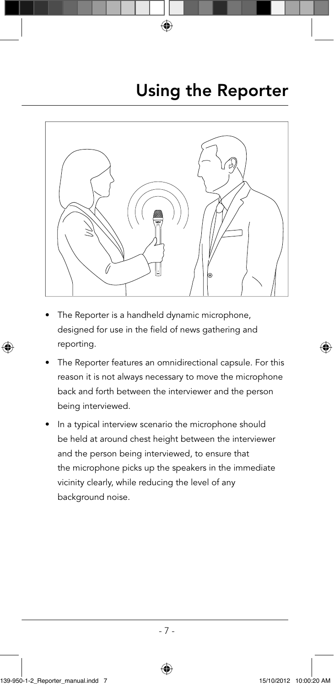

- The Reporter is a handheld dynamic microphone, designed for use in the field of news gathering and reporting.
- The Reporter features an omnidirectional capsule. For this reason it is not always necessary to move the microphone back and forth between the interviewer and the person being interviewed.
- In a typical interview scenario the microphone should be held at around chest height between the interviewer and the person being interviewed, to ensure that the microphone picks up the speakers in the immediate vicinity clearly, while reducing the level of any background noise.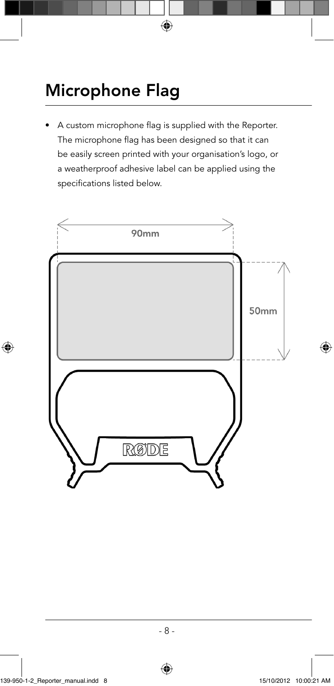# Microphone Flag

A custom microphone flag is supplied with the Reporter. The microphone flag has been designed so that it can be easily screen printed with your organisation's logo, or a weatherproof adhesive label can be applied using the specifications listed below.

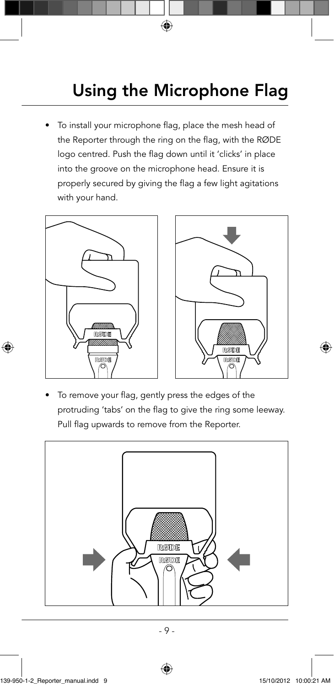# Using the Microphone Flag

To install your microphone flag, place the mesh head of the Reporter through the ring on the flag, with the RØDE logo centred. Push the flag down until it 'clicks' in place into the groove on the microphone head. Ensure it is properly secured by giving the flag a few light agitations with your hand.





To remove your flag, gently press the edges of the protruding 'tabs' on the flag to give the ring some leeway. Pull flag upwards to remove from the Reporter.

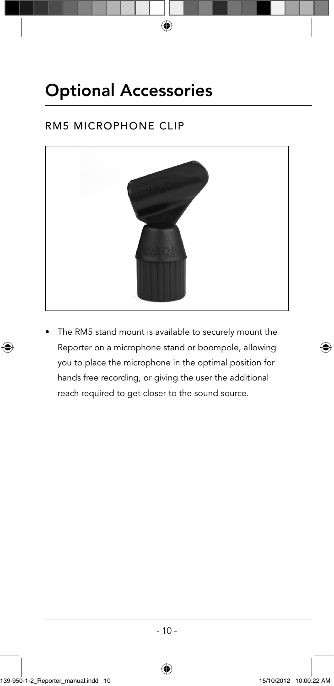## Optional Accessories

### RM5 MICROPHONE CLIP



The RM5 stand mount is available to securely mount the Reporter on a microphone stand or boompole, allowing you to place the microphone in the optimal position for hands free recording, or giving the user the additional reach required to get closer to the sound source.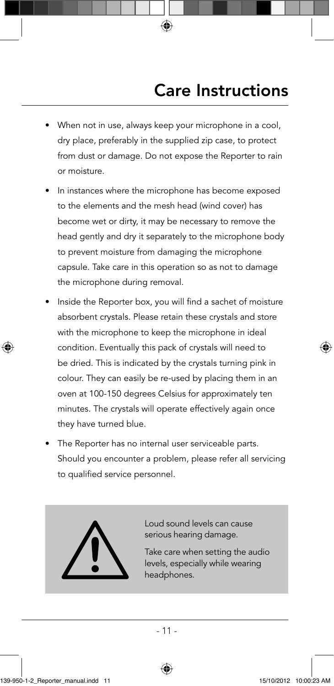- When not in use, always keep your microphone in a cool, dry place, preferably in the supplied zip case, to protect from dust or damage. Do not expose the Reporter to rain or moisture.
- In instances where the microphone has become exposed to the elements and the mesh head (wind cover) has become wet or dirty, it may be necessary to remove the head gently and dry it separately to the microphone body to prevent moisture from damaging the microphone capsule. Take care in this operation so as not to damage the microphone during removal.
- Inside the Reporter box, you will find a sachet of moisture absorbent crystals. Please retain these crystals and store with the microphone to keep the microphone in ideal condition. Eventually this pack of crystals will need to be dried. This is indicated by the crystals turning pink in colour. They can easily be re-used by placing them in an oven at 100-150 degrees Celsius for approximately ten minutes. The crystals will operate effectively again once they have turned blue.
- The Reporter has no internal user serviceable parts. Should you encounter a problem, please refer all servicing to qualified service personnel.



Loud sound levels can cause serious hearing damage.

Take care when setting the audio levels, especially while wearing headphones.